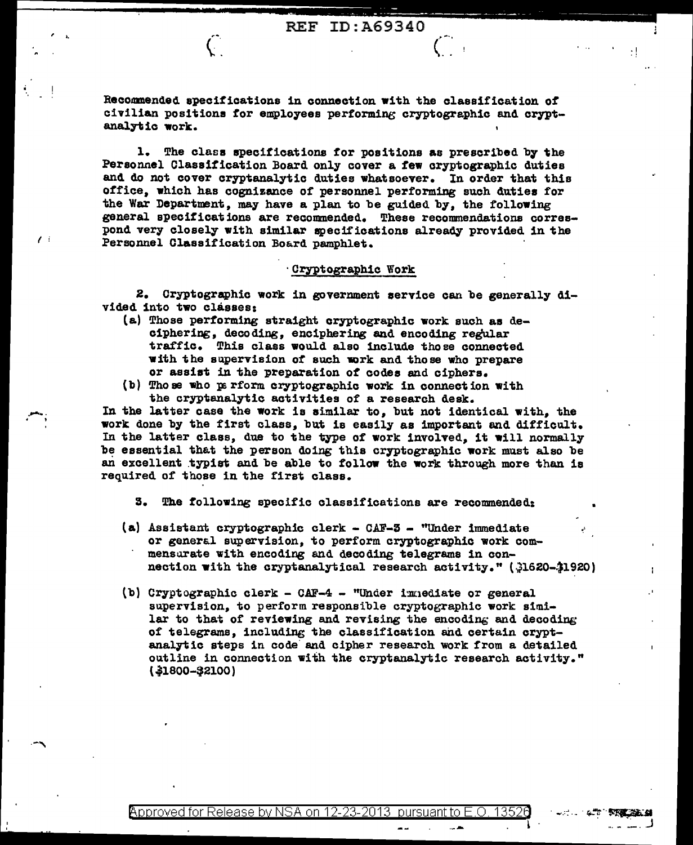$\left($ 

Recommended specifications in connection with the classification of civilian positions for employees performing cryptographic and cryptanalytic work.

 $\hat{C}$ 

 $\mathcal{L}$ 

1. The class specifications for positions as prescribed by the Personnel Classification Board only cover a few cryptographic duties and do not cover cryptanalytic duties whatsoever. In order that this office, which has cognizance of personnel performing such duties for the War Department, may have a plan to be guided by, the following general specifications are recommended. These recommendations correspond very closely with similar specifications already provided in the Personnel Classification Board pamphlet.

## Cryptographic Work

2. Cryptographic work in government service can be generally divided into two classes:

- (a) Those performing straight cryptographic work such as deciphering, decoding, enciphering and encoding regular traffic. This class would also include those connected with the supervision of such work and those who prepare or assist in the preparation of codes and ciphers.
- (b) Those who parform cryptographic work in connection with the cryptanalytic activities of a research desk.

In the latter case the work is similar to, but not identical with, the work done by the first class, but is easily as important and difficult. In the latter class, due to the type of work involved, it will normally be essential that the person doing this cryptographic work must also be an excellent typist and be able to follow the work through more than is required of those in the first class.

3. The following specific classifications are recommended:

- (a) Assistant cryptographic clerk CAF-3 "Under immediate or general supervision, to perform cryptographic work commensurate with encoding and decoding telegrams in connection with the cryptanalytical research activity." (31620-31920)
- (b) Cryptographic clerk CAF-4 "Under immediate or general supervision, to perform responsible cryptographic work similar to that of reviewing and revising the encoding and decoding of telegrams, including the classification and certain cryptanalytic steps in code and cipher research work from a detailed outline in connection with the cryptanalytic research activity." (\$1800-\$2100)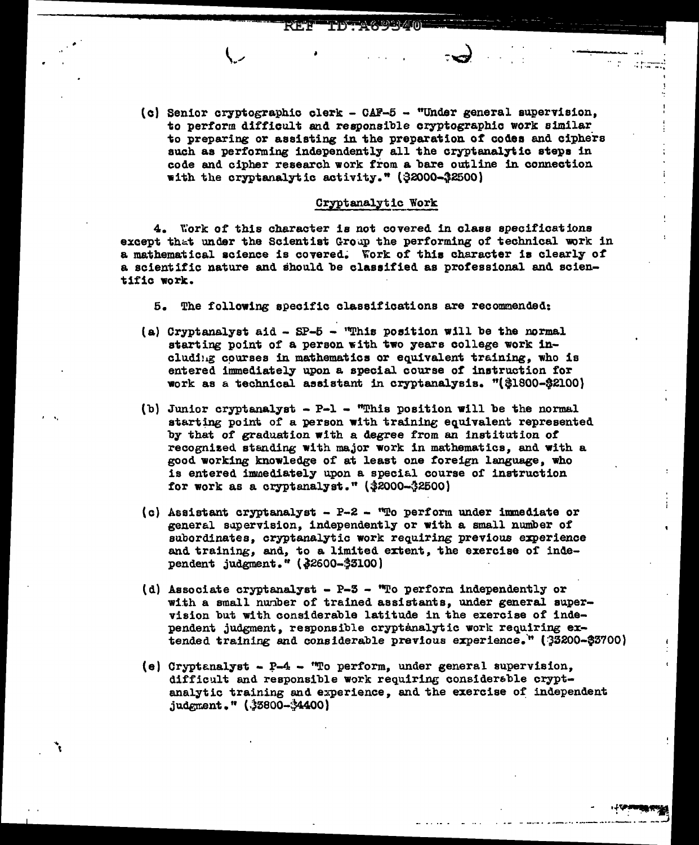- 
- (c) Senior cryptographic clerk CAF-5 "Under general supervision, to perform difficult and responsible cryptographic work similar to preparing or assisting in the preparation *ot* codes and ciphers such as performing independently all the cryptanalytic steps in code and cipher research work from a bare outline in connection with the cryptanalytic activity." (\$2000-32500)

 $\rightarrow$  , , , , , , , , , , , , , , ,

. the results of  $\sim$ 

## Cryptanalytic Work

4. Work of this character is not covered in class specifications except that under the Scientist Group the performing of technical work in a mathematical science is covered. Work of this character is clearly of a scientific nature and should be classified as professional and scientific work.

5. The following specific classifications are recommended:

- (a) Cryptanalyst aid  $-$  SP-5  $-$  "This position will be the normal starting point of a person with two years college work including courses in mathematics or equivalent training, who is entered immediately upon a special course of instruction for work as &. technical aesistant in cryptanalysis. "(\$1800-\$2100)
- (b) Junior cryptanalyst  $-$  P-1 "This position will be the normal starting point of a person with training equivalent represented by that of graduation with a degree from an institution of recognized standing with major work in mathematics, and with a good working knowledge of at least one toreign language, who is entered immediately upon a special course of instruction for work as a cryptanalyst."  $(32000 - 32500)$

 $\cdot$  .

... i

- (c) Assistant cryptanalyst P-2 ''To perform under inmediate or general supervision, independently or with a small number of subordinates, cryptanalytic work requiring previous experience and training, and, to a limited extent, the exercise of independent judgment." (\$2600-\$3100)
- (d) Associate cryptanalyst  $P 3 -$  "To perform independently or with a small number of trained assistants, under general supervision but with considerable latitude in the exercise of independent judgment, responsible cryptanalytic work requiring extended training and considerable previous experience." (33200-\$3700)
- (e) Cryptanalyst  $P 4 "To perform, under general supervision,$ difficult and responsible work requiring considerable cryptanalytic training and experience, and the exercise of independent  $j$ udgment." ( $3800 - 4400$ )

 $\epsilon$